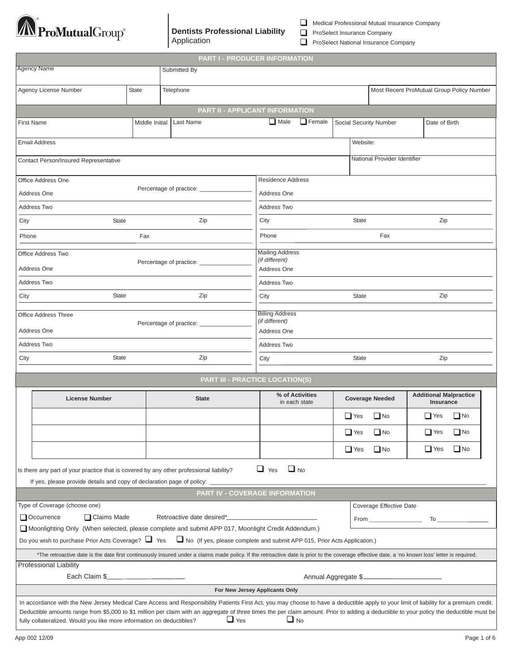

**Dentists Professional Liability** Application

| Medical Professional Mutual Insurance Company |  |  |  |
|-----------------------------------------------|--|--|--|
|-----------------------------------------------|--|--|--|

ProSelect Insurance Company

 $\Box$ 

ProSelect National Insurance Company

| PART I - PRODUCER INFORMATION                                                                                                                                                                                                                                                                                                                                                                                                                                                           |                                                                                                                                  |                                                         |                                                        |                                                                                                                                                                                                                                                           |                        |           |                                            |  |
|-----------------------------------------------------------------------------------------------------------------------------------------------------------------------------------------------------------------------------------------------------------------------------------------------------------------------------------------------------------------------------------------------------------------------------------------------------------------------------------------|----------------------------------------------------------------------------------------------------------------------------------|---------------------------------------------------------|--------------------------------------------------------|-----------------------------------------------------------------------------------------------------------------------------------------------------------------------------------------------------------------------------------------------------------|------------------------|-----------|--------------------------------------------|--|
| <b>Agency Name</b><br>Submitted By                                                                                                                                                                                                                                                                                                                                                                                                                                                      |                                                                                                                                  |                                                         |                                                        |                                                                                                                                                                                                                                                           |                        |           |                                            |  |
|                                                                                                                                                                                                                                                                                                                                                                                                                                                                                         | Agency License Number                                                                                                            | <b>State</b>                                            | Most Recent ProMutual Group Policy Number<br>Telephone |                                                                                                                                                                                                                                                           |                        |           |                                            |  |
|                                                                                                                                                                                                                                                                                                                                                                                                                                                                                         |                                                                                                                                  |                                                         |                                                        | <b>PART II - APPLICANT INFORMATION</b>                                                                                                                                                                                                                    |                        |           |                                            |  |
| <b>First Name</b>                                                                                                                                                                                                                                                                                                                                                                                                                                                                       |                                                                                                                                  | Middle Initial                                          | Last Name                                              | $\Box$ Male<br>$\Box$ Female                                                                                                                                                                                                                              | Social Security Number |           | Date of Birth                              |  |
| <b>Email Address</b><br>Website:                                                                                                                                                                                                                                                                                                                                                                                                                                                        |                                                                                                                                  |                                                         |                                                        |                                                                                                                                                                                                                                                           |                        |           |                                            |  |
| National Provider Identifier<br><b>Contact Person/Insured Representative</b>                                                                                                                                                                                                                                                                                                                                                                                                            |                                                                                                                                  |                                                         |                                                        |                                                                                                                                                                                                                                                           |                        |           |                                            |  |
|                                                                                                                                                                                                                                                                                                                                                                                                                                                                                         | <b>Residence Address</b><br>Office Address One                                                                                   |                                                         |                                                        |                                                                                                                                                                                                                                                           |                        |           |                                            |  |
|                                                                                                                                                                                                                                                                                                                                                                                                                                                                                         | Address One                                                                                                                      |                                                         | Percentage of practice: ______                         | Address One                                                                                                                                                                                                                                               |                        |           |                                            |  |
|                                                                                                                                                                                                                                                                                                                                                                                                                                                                                         | Address Two                                                                                                                      |                                                         |                                                        | Address Two                                                                                                                                                                                                                                               |                        |           |                                            |  |
| City                                                                                                                                                                                                                                                                                                                                                                                                                                                                                    | State                                                                                                                            |                                                         | Zip                                                    | City                                                                                                                                                                                                                                                      | <b>State</b>           |           | Zip                                        |  |
| Phone                                                                                                                                                                                                                                                                                                                                                                                                                                                                                   |                                                                                                                                  | Fax                                                     |                                                        | Phone                                                                                                                                                                                                                                                     |                        | Fax       |                                            |  |
| Office Address Two<br>Percentage of practice:<br>Address One                                                                                                                                                                                                                                                                                                                                                                                                                            |                                                                                                                                  | <b>Mailing Address</b><br>(if different)<br>Address One |                                                        |                                                                                                                                                                                                                                                           |                        |           |                                            |  |
|                                                                                                                                                                                                                                                                                                                                                                                                                                                                                         | Address Two                                                                                                                      |                                                         |                                                        | Address Two                                                                                                                                                                                                                                               |                        |           |                                            |  |
| City                                                                                                                                                                                                                                                                                                                                                                                                                                                                                    | State                                                                                                                            |                                                         | Zip                                                    | City                                                                                                                                                                                                                                                      | <b>State</b>           |           | Zip                                        |  |
|                                                                                                                                                                                                                                                                                                                                                                                                                                                                                         | <b>Billing Address</b><br><b>Office Address Three</b><br>(if different)<br>Percentage of practice:<br>Address One<br>Address One |                                                         |                                                        |                                                                                                                                                                                                                                                           |                        |           |                                            |  |
|                                                                                                                                                                                                                                                                                                                                                                                                                                                                                         | Address Two                                                                                                                      |                                                         |                                                        | Address Two                                                                                                                                                                                                                                               |                        |           |                                            |  |
| City                                                                                                                                                                                                                                                                                                                                                                                                                                                                                    | <b>State</b>                                                                                                                     |                                                         | Zip                                                    | City                                                                                                                                                                                                                                                      | State                  |           | Zip                                        |  |
|                                                                                                                                                                                                                                                                                                                                                                                                                                                                                         |                                                                                                                                  |                                                         |                                                        | <b>PART III - PRACTICE LOCATION(S)</b>                                                                                                                                                                                                                    |                        |           |                                            |  |
|                                                                                                                                                                                                                                                                                                                                                                                                                                                                                         | <b>License Number</b>                                                                                                            |                                                         | <b>State</b>                                           | % of Activities<br>in each state                                                                                                                                                                                                                          | <b>Coverage Needed</b> |           | <b>Additional Malpractice</b><br>Insurance |  |
|                                                                                                                                                                                                                                                                                                                                                                                                                                                                                         |                                                                                                                                  |                                                         |                                                        |                                                                                                                                                                                                                                                           | $\Box$ Yes             | $\Box$ No | $\Box$ No<br>$\Box$ Yes                    |  |
|                                                                                                                                                                                                                                                                                                                                                                                                                                                                                         |                                                                                                                                  |                                                         |                                                        |                                                                                                                                                                                                                                                           | $\Box$ Yes             | $\Box$ No | $\Box$ Yes<br>$\Box$ No                    |  |
|                                                                                                                                                                                                                                                                                                                                                                                                                                                                                         |                                                                                                                                  |                                                         |                                                        |                                                                                                                                                                                                                                                           | $\Box$ Yes             | $\Box$ No | $\Box$ No<br>$\Box$ Yes                    |  |
| $\Box$ Yes<br>$\Box$ No<br>Is there any part of your practice that is covered by any other professional liability?<br>If yes, please provide details and copy of declaration page of policy: _                                                                                                                                                                                                                                                                                          |                                                                                                                                  |                                                         |                                                        |                                                                                                                                                                                                                                                           |                        |           |                                            |  |
|                                                                                                                                                                                                                                                                                                                                                                                                                                                                                         |                                                                                                                                  |                                                         |                                                        | PART IV - COVERAGE INFORMATION                                                                                                                                                                                                                            |                        |           |                                            |  |
| Type of Coverage (choose one)<br>Retroactive date desired*<br>Occurrence<br>□ Claims Made                                                                                                                                                                                                                                                                                                                                                                                               |                                                                                                                                  |                                                         |                                                        | Coverage Effective Date<br>From To To The Tomas Communication of the Tomas Communication of the Tomas Communication of the Tomas Communication of the Tomas Communication of the Tomas Communication of the Tomas Communication of the Tomas Communicatio |                        |           |                                            |  |
| Moonlighting Only (When selected, please complete and submit APP 017, Moonlight Credit Addendum.)                                                                                                                                                                                                                                                                                                                                                                                       |                                                                                                                                  |                                                         |                                                        |                                                                                                                                                                                                                                                           |                        |           |                                            |  |
| Do you wish to purchase Prior Acts Coverage? $\Box$ Yes $\Box$ No (If yes, please complete and submit APP 015, Prior Acts Application.)                                                                                                                                                                                                                                                                                                                                                 |                                                                                                                                  |                                                         |                                                        |                                                                                                                                                                                                                                                           |                        |           |                                            |  |
| *The retroactive date is the date first continuously insured under a claims made policy. If the retroactive date is prior to the coverage effective date, a 'no known loss' letter is required.                                                                                                                                                                                                                                                                                         |                                                                                                                                  |                                                         |                                                        |                                                                                                                                                                                                                                                           |                        |           |                                            |  |
| <b>Professional Liability</b>                                                                                                                                                                                                                                                                                                                                                                                                                                                           |                                                                                                                                  |                                                         |                                                        |                                                                                                                                                                                                                                                           |                        |           |                                            |  |
|                                                                                                                                                                                                                                                                                                                                                                                                                                                                                         | Each Claim \$                                                                                                                    |                                                         |                                                        |                                                                                                                                                                                                                                                           |                        |           |                                            |  |
|                                                                                                                                                                                                                                                                                                                                                                                                                                                                                         |                                                                                                                                  |                                                         |                                                        | For New Jersey Applicants Only                                                                                                                                                                                                                            |                        |           |                                            |  |
| In accordance with the New Jersey Medical Care Access and Responsibility Patients First Act, you may choose to have a deductible apply to your limit of liability for a premium credit.<br>Deductible amounts range from \$5,000 to \$1 million per claim with an aggregate of three times the per claim amount. Prior to adding a deductible to your policy the deductible must be<br>$\Box$ Yes<br>$\Box$ No<br>fully collateralized. Would you like more information on deductibles? |                                                                                                                                  |                                                         |                                                        |                                                                                                                                                                                                                                                           |                        |           |                                            |  |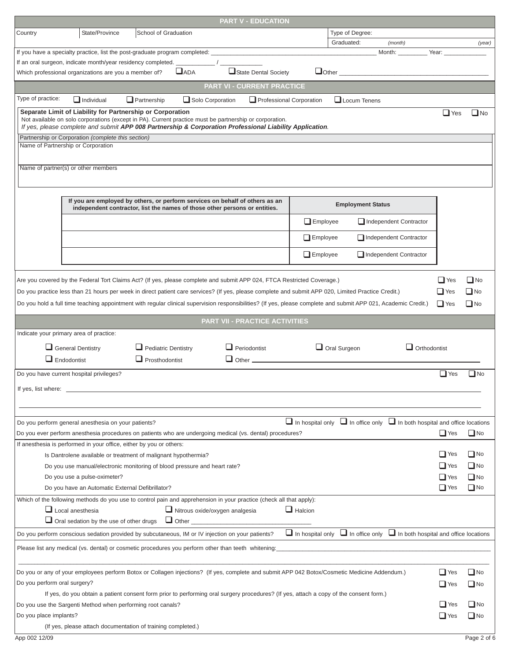|                                                                                                                                                                        |                                                                                                                                                                                  |                                                                            |                                       |  | <b>PART V - EDUCATION</b>                 |                         |                     |                          |                                                                                            |                     |              |
|------------------------------------------------------------------------------------------------------------------------------------------------------------------------|----------------------------------------------------------------------------------------------------------------------------------------------------------------------------------|----------------------------------------------------------------------------|---------------------------------------|--|-------------------------------------------|-------------------------|---------------------|--------------------------|--------------------------------------------------------------------------------------------|---------------------|--------------|
| Country                                                                                                                                                                | State/Province                                                                                                                                                                   | School of Graduation                                                       |                                       |  |                                           |                         |                     | Type of Degree:          |                                                                                            |                     |              |
|                                                                                                                                                                        |                                                                                                                                                                                  |                                                                            |                                       |  |                                           |                         | Graduated:          |                          | (month)                                                                                    |                     | (year)       |
|                                                                                                                                                                        | If you have a specialty practice, list the post-graduate program completed:<br>If an oral surgeon, indicate month/year residency completed.                                      |                                                                            |                                       |  |                                           |                         |                     |                          | Month:                                                                                     | Year:               |              |
|                                                                                                                                                                        | Which professional organizations are you a member of?                                                                                                                            |                                                                            | $\Box$ ADA                            |  | State Dental Society                      |                         |                     |                          | $\Box$ Other $\Box$                                                                        |                     |              |
|                                                                                                                                                                        |                                                                                                                                                                                  |                                                                            |                                       |  | PART VI - CURRENT PRACTICE                |                         |                     |                          |                                                                                            |                     |              |
| Type of practice:                                                                                                                                                      |                                                                                                                                                                                  |                                                                            |                                       |  |                                           |                         |                     |                          |                                                                                            |                     |              |
|                                                                                                                                                                        | $\Box$ Individual                                                                                                                                                                | $\Box$ Partnership                                                         | Solo Corporation                      |  | Professional Corporation                  |                         |                     | $\Box$ Locum Tenens      |                                                                                            |                     |              |
|                                                                                                                                                                        | Separate Limit of Liability for Partnership or Corporation<br>Not available on solo corporations (except in PA). Current practice must be partnership or corporation.            |                                                                            |                                       |  |                                           |                         |                     |                          |                                                                                            | $\Box$ Yes          | $\Box$ No    |
|                                                                                                                                                                        | If yes, please complete and submit APP 008 Partnership & Corporation Professional Liability Application.                                                                         |                                                                            |                                       |  |                                           |                         |                     |                          |                                                                                            |                     |              |
|                                                                                                                                                                        | Partnership or Corporation (complete this section)<br>Name of Partnership or Corporation                                                                                         |                                                                            |                                       |  |                                           |                         |                     |                          |                                                                                            |                     |              |
|                                                                                                                                                                        |                                                                                                                                                                                  |                                                                            |                                       |  |                                           |                         |                     |                          |                                                                                            |                     |              |
|                                                                                                                                                                        | Name of partner(s) or other members                                                                                                                                              |                                                                            |                                       |  |                                           |                         |                     |                          |                                                                                            |                     |              |
|                                                                                                                                                                        |                                                                                                                                                                                  |                                                                            |                                       |  |                                           |                         |                     |                          |                                                                                            |                     |              |
|                                                                                                                                                                        |                                                                                                                                                                                  |                                                                            |                                       |  |                                           |                         |                     |                          |                                                                                            |                     |              |
|                                                                                                                                                                        | If you are employed by others, or perform services on behalf of others as an                                                                                                     | independent contractor, list the names of those other persons or entities. |                                       |  |                                           |                         |                     | <b>Employment Status</b> |                                                                                            |                     |              |
|                                                                                                                                                                        |                                                                                                                                                                                  |                                                                            |                                       |  |                                           | $\Box$ Employee         |                     |                          | Independent Contractor                                                                     |                     |              |
|                                                                                                                                                                        |                                                                                                                                                                                  |                                                                            |                                       |  |                                           |                         |                     |                          |                                                                                            |                     |              |
|                                                                                                                                                                        |                                                                                                                                                                                  |                                                                            |                                       |  |                                           | $\Box$ Employee         |                     |                          | Independent Contractor                                                                     |                     |              |
|                                                                                                                                                                        |                                                                                                                                                                                  |                                                                            |                                       |  |                                           | $\Box$ Employee         |                     |                          | Independent Contractor                                                                     |                     |              |
|                                                                                                                                                                        |                                                                                                                                                                                  |                                                                            |                                       |  |                                           |                         |                     |                          |                                                                                            |                     |              |
|                                                                                                                                                                        | Are you covered by the Federal Tort Claims Act? (If yes, please complete and submit APP 024, FTCA Restricted Coverage.)                                                          |                                                                            |                                       |  |                                           |                         |                     |                          |                                                                                            | $\Box$ Yes          | $\square$ No |
|                                                                                                                                                                        | Do you practice less than 21 hours per week in direct patient care services? (If yes, please complete and submit APP 020, Limited Practice Credit.)                              |                                                                            |                                       |  |                                           |                         |                     |                          |                                                                                            | $\Box$ Yes          | $\square$ No |
|                                                                                                                                                                        | Do you hold a full time teaching appointment with regular clinical supervision responsibilities? (If yes, please complete and submit APP 021, Academic Credit.)                  |                                                                            |                                       |  |                                           |                         |                     |                          |                                                                                            | $\Box$ Yes          | $\Box$ No    |
|                                                                                                                                                                        |                                                                                                                                                                                  |                                                                            |                                       |  | <b>PART VII - PRACTICE ACTIVITIES</b>     |                         |                     |                          |                                                                                            |                     |              |
|                                                                                                                                                                        | Indicate your primary area of practice:                                                                                                                                          |                                                                            |                                       |  |                                           |                         |                     |                          |                                                                                            |                     |              |
|                                                                                                                                                                        |                                                                                                                                                                                  |                                                                            |                                       |  |                                           |                         |                     |                          |                                                                                            |                     |              |
|                                                                                                                                                                        | General Dentistry                                                                                                                                                                | $\Box$ Pediatric Dentistry                                                 |                                       |  | $\Box$ Periodontist                       |                         | $\Box$ Oral Surgeon |                          |                                                                                            | $\Box$ Orthodontist |              |
|                                                                                                                                                                        | $\Box$ Endodontist                                                                                                                                                               | $\Box$ Prosthodontist                                                      |                                       |  | $\Box$ Other $\_\_\_\_\_\_\_\_\_\_\_\_\_$ |                         |                     |                          |                                                                                            |                     |              |
|                                                                                                                                                                        | Do you have current hospital privileges?                                                                                                                                         |                                                                            |                                       |  |                                           |                         |                     |                          |                                                                                            | $\Box$ Yes          | $\Box$ No    |
| If yes, list where:                                                                                                                                                    |                                                                                                                                                                                  |                                                                            |                                       |  |                                           |                         |                     |                          |                                                                                            |                     |              |
|                                                                                                                                                                        |                                                                                                                                                                                  |                                                                            |                                       |  |                                           |                         |                     |                          |                                                                                            |                     |              |
|                                                                                                                                                                        |                                                                                                                                                                                  |                                                                            |                                       |  |                                           |                         |                     |                          |                                                                                            |                     |              |
|                                                                                                                                                                        | Do you perform general anesthesia on your patients?                                                                                                                              |                                                                            |                                       |  |                                           |                         |                     |                          | $\Box$ In hospital only $\Box$ In office only $\Box$ In both hospital and office locations |                     |              |
|                                                                                                                                                                        | Do you ever perform anesthesia procedures on patients who are undergoing medical (vs. dental) procedures?<br>If anesthesia is performed in your office, either by you or others: |                                                                            |                                       |  |                                           |                         |                     |                          |                                                                                            | $\Box$ Yes          | $\Box$ No    |
|                                                                                                                                                                        | Is Dantrolene available or treatment of malignant hypothermia?                                                                                                                   |                                                                            |                                       |  |                                           |                         |                     |                          |                                                                                            | $\Box$ Yes          | $\Box$ No    |
|                                                                                                                                                                        | Do you use manual/electronic monitoring of blood pressure and heart rate?                                                                                                        |                                                                            |                                       |  |                                           |                         |                     |                          |                                                                                            | $\Box$ Yes          | $\Box$ No    |
|                                                                                                                                                                        | Do you use a pulse-oximeter?                                                                                                                                                     |                                                                            |                                       |  |                                           |                         |                     |                          |                                                                                            | $\Box$ Yes          | $\Box$ No    |
|                                                                                                                                                                        | Do you have an Automatic External Defibrillator?                                                                                                                                 |                                                                            |                                       |  |                                           |                         |                     |                          |                                                                                            | $\Box$ Yes          | $\Box$ No    |
|                                                                                                                                                                        | Which of the following methods do you use to control pain and apprehension in your practice (check all that apply):                                                              |                                                                            |                                       |  |                                           |                         |                     |                          |                                                                                            |                     |              |
|                                                                                                                                                                        | $\Box$ Local anesthesia                                                                                                                                                          |                                                                            | $\Box$ Nitrous oxide/oxygen analgesia |  |                                           | $\Box$ Halcion          |                     |                          |                                                                                            |                     |              |
|                                                                                                                                                                        | □ Oral sedation by the use of other drugs                                                                                                                                        |                                                                            | $\Box$ Other                          |  |                                           |                         |                     |                          |                                                                                            |                     |              |
|                                                                                                                                                                        | Do you perform conscious sedation provided by subcutaneous, IM or IV injection on your patients?                                                                                 |                                                                            |                                       |  |                                           | $\Box$ In hospital only |                     |                          | $\Box$ In office only $\Box$ In both hospital and office locations                         |                     |              |
|                                                                                                                                                                        | Please list any medical (vs. dental) or cosmetic procedures you perform other than teeth whitening:                                                                              |                                                                            |                                       |  |                                           |                         |                     |                          |                                                                                            |                     |              |
|                                                                                                                                                                        |                                                                                                                                                                                  |                                                                            |                                       |  |                                           |                         |                     |                          |                                                                                            |                     |              |
|                                                                                                                                                                        | Do you or any of your employees perform Botox or Collagen injections? (If yes, complete and submit APP 042 Botox/Cosmetic Medicine Addendum.)                                    |                                                                            |                                       |  |                                           |                         |                     |                          |                                                                                            | $\Box$ Yes          | $\Box$ No    |
| Do you perform oral surgery?<br>If yes, do you obtain a patient consent form prior to performing oral surgery procedures? (If yes, attach a copy of the consent form.) |                                                                                                                                                                                  |                                                                            |                                       |  |                                           | $\Box$ Yes              | $\Box$ No           |                          |                                                                                            |                     |              |
|                                                                                                                                                                        |                                                                                                                                                                                  |                                                                            |                                       |  |                                           |                         |                     |                          |                                                                                            |                     |              |
| Do you use the Sargenti Method when performing root canals?                                                                                                            |                                                                                                                                                                                  |                                                                            |                                       |  |                                           |                         | $\Box$ Yes          | $\Box$ No                |                                                                                            |                     |              |
| Do you place implants?<br>(If yes, please attach documentation of training completed.)                                                                                 |                                                                                                                                                                                  |                                                                            |                                       |  | $\Box$ Yes                                | $\Box$ No               |                     |                          |                                                                                            |                     |              |
|                                                                                                                                                                        |                                                                                                                                                                                  |                                                                            |                                       |  |                                           |                         |                     |                          |                                                                                            |                     |              |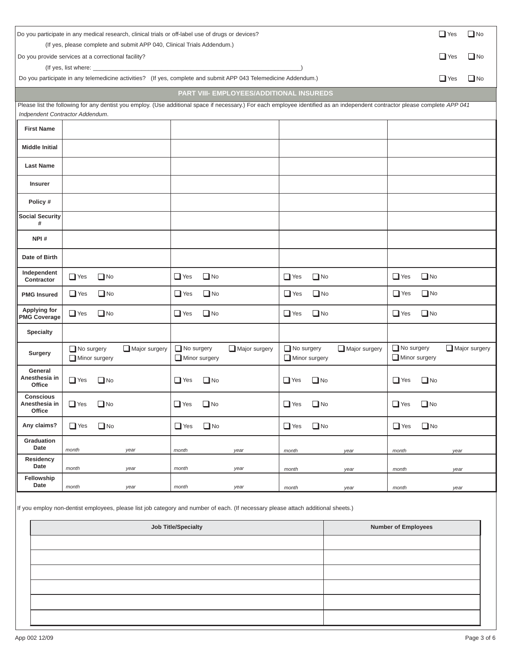|                                             | $\Box$ Yes<br>Do you participate in any medical research, clinical trials or off-label use of drugs or devices?                |                                              |                                                                                                                                                                              |                                              |  |  |  |
|---------------------------------------------|--------------------------------------------------------------------------------------------------------------------------------|----------------------------------------------|------------------------------------------------------------------------------------------------------------------------------------------------------------------------------|----------------------------------------------|--|--|--|
|                                             | (If yes, please complete and submit APP 040, Clinical Trials Addendum.)<br>Do you provide services at a correctional facility? |                                              |                                                                                                                                                                              | $\Box$ Yes<br>$\Box$ No                      |  |  |  |
|                                             |                                                                                                                                |                                              |                                                                                                                                                                              |                                              |  |  |  |
|                                             | Do you participate in any telemedicine activities? (If yes, complete and submit APP 043 Telemedicine Addendum.)                |                                              |                                                                                                                                                                              | $\Box$ Yes<br>$\Box$ No                      |  |  |  |
|                                             |                                                                                                                                | PART VIII- EMPLOYEES/ADDITIONAL INSUREDS     | Please list the following for any dentist you employ. (Use additional space if necessary.) For each employee identified as an independent contractor please complete APP 041 |                                              |  |  |  |
|                                             | Indpendent Contractor Addendum.                                                                                                |                                              |                                                                                                                                                                              |                                              |  |  |  |
| <b>First Name</b>                           |                                                                                                                                |                                              |                                                                                                                                                                              |                                              |  |  |  |
| <b>Middle Initial</b>                       |                                                                                                                                |                                              |                                                                                                                                                                              |                                              |  |  |  |
| <b>Last Name</b>                            |                                                                                                                                |                                              |                                                                                                                                                                              |                                              |  |  |  |
| <b>Insurer</b>                              |                                                                                                                                |                                              |                                                                                                                                                                              |                                              |  |  |  |
| Policy #                                    |                                                                                                                                |                                              |                                                                                                                                                                              |                                              |  |  |  |
| <b>Social Security</b><br>#                 |                                                                                                                                |                                              |                                                                                                                                                                              |                                              |  |  |  |
| NPI#                                        |                                                                                                                                |                                              |                                                                                                                                                                              |                                              |  |  |  |
| Date of Birth                               |                                                                                                                                |                                              |                                                                                                                                                                              |                                              |  |  |  |
| Independent<br>Contractor                   | $\Box$ Yes<br>$\Box$ No                                                                                                        | $\Box$ Yes<br>$\Box$ No                      | $\Box$ No<br>$\Box$ Yes                                                                                                                                                      | $\Box$ Yes<br>$\Box$ No                      |  |  |  |
| <b>PMG Insured</b>                          | $\Box$ Yes<br>$\Box$ No                                                                                                        | $\Box$ Yes<br>$\Box$ No                      | $\Box$ No<br>$\Box$ Yes                                                                                                                                                      | $\Box$ Yes<br>$\Box$ No                      |  |  |  |
| <b>Applying for</b><br><b>PMG Coverage</b>  | $\Box$ Yes<br>$\Box$ No                                                                                                        | $\Box$ Yes<br>$\Box$ No                      | $\Box$ Yes<br>$\Box$ No                                                                                                                                                      | $\Box$ Yes<br>$\Box$ No                      |  |  |  |
| <b>Specialty</b>                            |                                                                                                                                |                                              |                                                                                                                                                                              |                                              |  |  |  |
| <b>Surgery</b>                              | No surgery<br>Major surgery<br>$\Box$ Minor surgery                                                                            | No surgery<br>Major surgery<br>Minor surgery | $\Box$ No surgery<br>Major surgery<br>Minor surgery                                                                                                                          | No surgery<br>Major surgery<br>Minor surgery |  |  |  |
| General<br>Anesthesia in<br>Office          | $\Box$ Yes<br>$\Box$ No                                                                                                        | $\Box$ No<br>$\Box$ Yes                      | $\Box$ No<br>$\Box$ Yes                                                                                                                                                      | $\Box$ No<br>$\Box$ Yes                      |  |  |  |
| <b>Conscious</b><br>Anesthesia in<br>Office | $\Box$ Yes<br>$\Box$ No                                                                                                        | $\Box$ Yes<br>$\Box$ No                      | $\Box$ No<br>$\Box$ Yes                                                                                                                                                      | $\Box$ No<br>$\Box$ Yes                      |  |  |  |
| Any claims?                                 | $\Box$ No<br>$\Box$ Yes                                                                                                        | $\Box$ No<br>$\Box$ Yes                      | $\Box$ No<br>$\Box$ Yes                                                                                                                                                      | $\Box$ No<br>$\Box$ Yes                      |  |  |  |
| Graduation<br>Date                          | month<br>year                                                                                                                  | month<br>year                                | month<br>year                                                                                                                                                                | month<br>year                                |  |  |  |
| Residency<br>Date                           | month<br>year                                                                                                                  | month<br>year                                | month<br>year                                                                                                                                                                | month<br>year                                |  |  |  |
| Fellowship<br>Date                          | month<br>year                                                                                                                  | month<br>year                                | month<br>year                                                                                                                                                                | month<br>year                                |  |  |  |
|                                             | If you employ pon-deptict employees please list iob category and number of each (If necessary please attach additional sheets) |                                              |                                                                                                                                                                              |                                              |  |  |  |

iy non-dentist employees, please list job category and number of each. (If necessary please attach additional sheets.)<br>.

| Job Title/Specialty | <b>Number of Employees</b> |
|---------------------|----------------------------|
|                     |                            |
|                     |                            |
|                     |                            |
|                     |                            |
|                     |                            |
|                     |                            |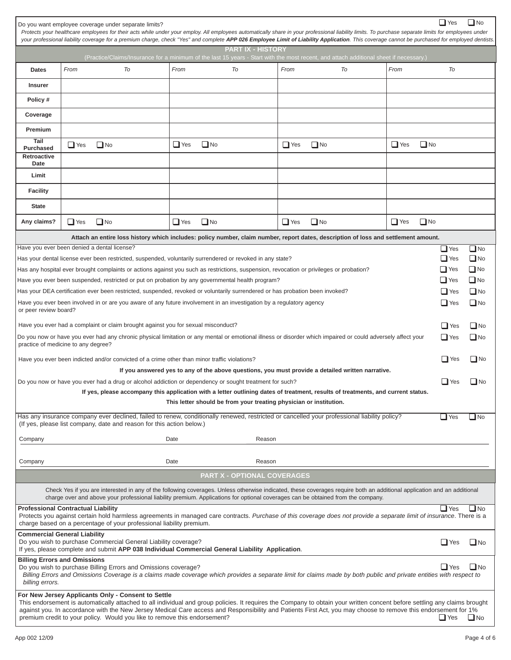| $\Box$ Yes<br>$\square$ No<br>Do you want employee coverage under separate limits?<br>Protects your healthcare employees for their acts while under your employ. All employees automatically share in your professional liability limits. To purchase separate limits for employees under<br>your professional liability coverage for a premium charge, check "Yes" and complete APP 026 Employee Limit of Liability Application. This coverage cannot be purchased for employed dentists.                 |                                                                                                                                              |            |           |            |           |                         |              |           |
|------------------------------------------------------------------------------------------------------------------------------------------------------------------------------------------------------------------------------------------------------------------------------------------------------------------------------------------------------------------------------------------------------------------------------------------------------------------------------------------------------------|----------------------------------------------------------------------------------------------------------------------------------------------|------------|-----------|------------|-----------|-------------------------|--------------|-----------|
| <b>PART IX - HISTORY</b><br>(Practice/Claims/Insurance for a minimum of the last 15 years - Start with the most recent, and attach additional sheet if necessary.)                                                                                                                                                                                                                                                                                                                                         |                                                                                                                                              |            |           |            |           |                         |              |           |
| <b>Dates</b>                                                                                                                                                                                                                                                                                                                                                                                                                                                                                               | From<br>To                                                                                                                                   | From       | To        | From       | To        | From                    | To           |           |
|                                                                                                                                                                                                                                                                                                                                                                                                                                                                                                            |                                                                                                                                              |            |           |            |           |                         |              |           |
| <b>Insurer</b>                                                                                                                                                                                                                                                                                                                                                                                                                                                                                             |                                                                                                                                              |            |           |            |           |                         |              |           |
| Policy #                                                                                                                                                                                                                                                                                                                                                                                                                                                                                                   |                                                                                                                                              |            |           |            |           |                         |              |           |
| Coverage                                                                                                                                                                                                                                                                                                                                                                                                                                                                                                   |                                                                                                                                              |            |           |            |           |                         |              |           |
| Premium                                                                                                                                                                                                                                                                                                                                                                                                                                                                                                    |                                                                                                                                              |            |           |            |           |                         |              |           |
| Tail<br><b>Purchased</b>                                                                                                                                                                                                                                                                                                                                                                                                                                                                                   | $\Box$ Yes<br>$\Box$ No                                                                                                                      | $\Box$ Yes | $\Box$ No | $\Box$ Yes | $\Box$ No | $\Box$ Yes<br>$\Box$ No |              |           |
| Retroactive<br>Date                                                                                                                                                                                                                                                                                                                                                                                                                                                                                        |                                                                                                                                              |            |           |            |           |                         |              |           |
| Limit                                                                                                                                                                                                                                                                                                                                                                                                                                                                                                      |                                                                                                                                              |            |           |            |           |                         |              |           |
| <b>Facility</b>                                                                                                                                                                                                                                                                                                                                                                                                                                                                                            |                                                                                                                                              |            |           |            |           |                         |              |           |
| <b>State</b>                                                                                                                                                                                                                                                                                                                                                                                                                                                                                               |                                                                                                                                              |            |           |            |           |                         |              |           |
| Any claims?                                                                                                                                                                                                                                                                                                                                                                                                                                                                                                | $\Box$ No<br>$\Box$ Yes                                                                                                                      | $\Box$ Yes | $\Box$ No | $\Box$ Yes | $\Box$ No | $\Box$ No<br>$\Box$ Yes |              |           |
|                                                                                                                                                                                                                                                                                                                                                                                                                                                                                                            | Attach an entire loss history which includes: policy number, claim number, report dates, description of loss and settlement amount.          |            |           |            |           |                         |              |           |
|                                                                                                                                                                                                                                                                                                                                                                                                                                                                                                            | Have you ever been denied a dental license?                                                                                                  |            |           |            |           |                         | $\Box$ Yes   | $\Box$ No |
|                                                                                                                                                                                                                                                                                                                                                                                                                                                                                                            | Has your dental license ever been restricted, suspended, voluntarily surrendered or revoked in any state?                                    |            |           |            |           |                         | $\Box$ Yes   | $\Box$ No |
|                                                                                                                                                                                                                                                                                                                                                                                                                                                                                                            | Has any hospital ever brought complaints or actions against you such as restrictions, suspension, revocation or privileges or probation?     |            |           |            |           |                         | $\Box$ Yes   | $\Box$ No |
|                                                                                                                                                                                                                                                                                                                                                                                                                                                                                                            | Have you ever been suspended, restricted or put on probation by any governmental health program?                                             |            |           |            |           |                         | $\Box$ Yes   | $\Box$ No |
|                                                                                                                                                                                                                                                                                                                                                                                                                                                                                                            | Has your DEA certification ever been restricted, suspended, revoked or voluntarily surrendered or has probation been invoked?                |            |           |            |           |                         | $\Box$ Yes   | $\Box$ No |
| Have you ever been involved in or are you aware of any future involvement in an investigation by a regulatory agency<br>or peer review board?                                                                                                                                                                                                                                                                                                                                                              |                                                                                                                                              |            |           |            |           | $\Box$ Yes              | $\Box$ No    |           |
| Have you ever had a complaint or claim brought against you for sexual misconduct?                                                                                                                                                                                                                                                                                                                                                                                                                          |                                                                                                                                              |            |           |            |           | $\Box$ Yes              | $\square$ No |           |
| Do you now or have you ever had any chronic physical limitation or any mental or emotional illness or disorder which impaired or could adversely affect your<br>$\Box$ Yes<br>practice of medicine to any degree?                                                                                                                                                                                                                                                                                          |                                                                                                                                              |            |           |            |           |                         | $\Box$ No    |           |
|                                                                                                                                                                                                                                                                                                                                                                                                                                                                                                            | $\Box$ Yes<br>$\Box$ No<br>Have you ever been indicted and/or convicted of a crime other than minor traffic violations?                      |            |           |            |           |                         |              |           |
| If you answered yes to any of the above questions, you must provide a detailed written narrative.                                                                                                                                                                                                                                                                                                                                                                                                          |                                                                                                                                              |            |           |            |           |                         |              |           |
| $\Box$ Yes<br>$\square$ No<br>Do you now or have you ever had a drug or alcohol addiction or dependency or sought treatment for such?                                                                                                                                                                                                                                                                                                                                                                      |                                                                                                                                              |            |           |            |           |                         |              |           |
| If yes, please accompany this application with a letter outlining dates of treatment, results of treatments, and current status.<br>This letter should be from your treating physician or institution.                                                                                                                                                                                                                                                                                                     |                                                                                                                                              |            |           |            |           |                         |              |           |
|                                                                                                                                                                                                                                                                                                                                                                                                                                                                                                            | Has any insurance company ever declined, failed to renew, conditionally renewed, restricted or cancelled your professional liability policy? |            |           |            |           |                         | $\Box$ Yes   | $\Box$ No |
|                                                                                                                                                                                                                                                                                                                                                                                                                                                                                                            | (If yes, please list company, date and reason for this action below.)                                                                        |            |           |            |           |                         |              |           |
| Company                                                                                                                                                                                                                                                                                                                                                                                                                                                                                                    |                                                                                                                                              | Date       | Reason    |            |           |                         |              |           |
| Company                                                                                                                                                                                                                                                                                                                                                                                                                                                                                                    |                                                                                                                                              | Date       | Reason    |            |           |                         |              |           |
| <b>PART X - OPTIONAL COVERAGES</b>                                                                                                                                                                                                                                                                                                                                                                                                                                                                         |                                                                                                                                              |            |           |            |           |                         |              |           |
| Check Yes if you are interested in any of the following coverages. Unless otherwise indicated, these coverages require both an additional application and an additional<br>charge over and above your professional liability premium. Applications for optional coverages can be obtained from the company.                                                                                                                                                                                                |                                                                                                                                              |            |           |            |           |                         |              |           |
| <b>Professional Contractual Liability</b><br>$\Box$ Yes<br>$\Box$ No<br>Protects you against certain hold harmless agreements in managed care contracts. Purchase of this coverage does not provide a separate limit of insurance. There is a<br>charge based on a percentage of your professional liability premium.                                                                                                                                                                                      |                                                                                                                                              |            |           |            |           |                         |              |           |
| <b>Commercial General Liability</b><br>Do you wish to purchase Commercial General Liability coverage?<br>$\square$ No<br>$\Box$ Yes                                                                                                                                                                                                                                                                                                                                                                        |                                                                                                                                              |            |           |            |           |                         |              |           |
| If yes, please complete and submit APP 038 Individual Commercial General Liability Application.<br><b>Billing Errors and Omissions</b><br>$\Box$ No<br>Do you wish to purchase Billing Errors and Omissions coverage?<br>$\Box$ Yes<br>Billing Errors and Omissions Coverage is a claims made coverage which provides a separate limit for claims made by both public and private entities with respect to<br>billing errors.                                                                              |                                                                                                                                              |            |           |            |           |                         |              |           |
| For New Jersey Applicants Only - Consent to Settle<br>This endorsement is automatically attached to all individual and group policies. It requires the Company to obtain your written concent before settling any claims brought<br>against you. In accordance with the New Jersey Medical Care access and Responsibility and Patients First Act, you may choose to remove this endorsement for 1%<br>premium credit to your policy. Would you like to remove this endorsement?<br>$\Box$ No<br>$\Box$ Yes |                                                                                                                                              |            |           |            |           |                         |              |           |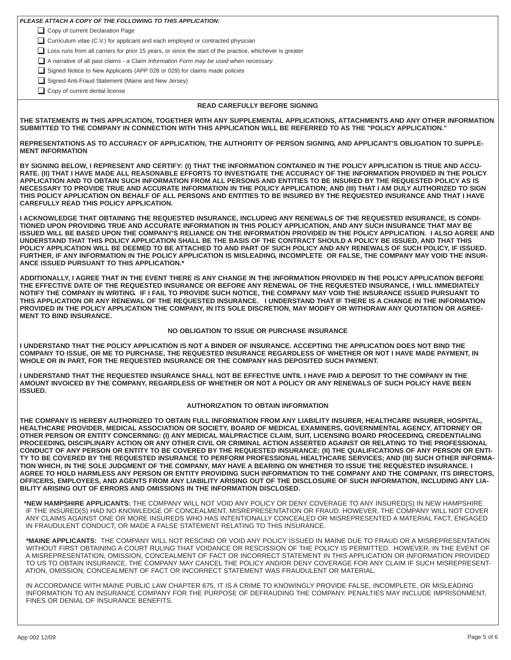| PLEASE ATTACH A COPY OF THE FOLLOWING TO THIS APPLICATION: |  |  |
|------------------------------------------------------------|--|--|
|------------------------------------------------------------|--|--|

Copy of current Declaration Page

Curriculum vitae (C.V.) for applicant and each employed or contracted physician

Loss runs from all carriers for prior 15 years, or since the start of the practice, whichever is greater

A narrative of all past claims - *a Claim Information Form may be used when necessary*

Signed Notice to New Applicants (APP 028 or 029) for claims made policies

Signed Anti-Fraud Statement (Maine and New Jersey)

Copy of current dental license

### **READ CAREFULLY BEFORE SIGNING**

**THE STATEMENTS IN THIS APPLICATION, TOGETHER WITH ANY SUPPLEMENTAL APPLICATIONS, ATTACHMENTS AND ANY OTHER INFORMATION SUBMITTED TO THE COMPANY IN CONNECTION WITH THIS APPLICATION WILL BE REFERRED TO AS THE "POLICY APPLICATION."**

**REPRESENTATIONS AS TO ACCURACY OF APPLICATION, THE AUTHORITY OF PERSON SIGNING, AND APPLICANT'S OBLIGATION TO SUPPLE-MENT INFORMATION** 

**BY SIGNING BELOW, I REPRESENT AND CERTIFY: (I) THAT THE INFORMATION CONTAINED IN THE POLICY APPLICATION IS TRUE AND ACCU-RATE. (II) THAT I HAVE MADE ALL REASONABLE EFFORTS TO INVESTIGATE THE ACCURACY OF THE INFORMATION PROVIDED IN THE POLICY APPLICATION AND TO OBTAIN SUCH INFORMATION FROM ALL PERSONS AND ENTITIES TO BE INSURED BY THE REQUESTED POLICY AS IS NECESSARY TO PROVIDE TRUE AND ACCURATE INFORMATION IN THE POLICY APPLICATION; AND (III) THAT I AM DULY AUTHORIZED TO SIGN THIS POLICY APPLICATION ON BEHALF OF ALL PERSONS AND ENTITIES TO BE INSURED BY THE REQUESTED INSURANCE AND THAT I HAVE CAREFULLY READ THIS POLICY APPLICATION.** 

**I ACKNOWLEDGE THAT OBTAINING THE REQUESTED INSURANCE, INCLUDING ANY RENEWALS OF THE REQUESTED INSURANCE, IS CONDI-TIONED UPON PROVIDING TRUE AND ACCURATE INFORMATION IN THIS POLICY APPLICATION, AND ANY SUCH INSURANCE THAT MAY BE ISSUED WILL BE BASED UPON THE COMPANY'S RELIANCE ON THE INFORMATION PROVIDED IN THE POLICY APPLICATION. I ALSO AGREE AND UNDERSTAND THAT THIS POLICY APPLICATION SHALL BE THE BASIS OF THE CONTRACT SHOULD A POLICY BE ISSUED, AND THAT THIS POLICY APPLICATION WILL BE DEEMED TO BE ATTACHED TO AND PART OF SUCH POLICY AND ANY RENEWALS OF SUCH POLICY, IF ISSUED. FURTHER, IF ANY INFORMATION IN THE POLICY APPLICATION IS MISLEADING, INCOMPLETE OR FALSE, THE COMPANY MAY VOID THE INSUR-ANCE ISSUED PURSUANT TO THIS APPLICATION.\***

**ADDITIONALLY, I AGREE THAT IN THE EVENT THERE IS ANY CHANGE IN THE INFORMATION PROVIDED IN THE POLICY APPLICATION BEFORE THE EFFECTIVE DATE OF THE REQUESTED INSURANCE OR BEFORE ANY RENEWAL OF THE REQUESTED INSURANCE, I WILL IMMEDIATELY NOTIFY THE COMPANY IN WRITING. IF I FAIL TO PROVIDE SUCH NOTICE, THE COMPANY MAY VOID THE INSURANCE ISSUED PURSUANT TO THIS APPLICATION OR ANY RENEWAL OF THE REQUESTED INSURANCE. I UNDERSTAND THAT IF THERE IS A CHANGE IN THE INFORMATION PROVIDED IN THE POLICY APPLICATION THE COMPANY, IN ITS SOLE DISCRETION, MAY MODIFY OR WITHDRAW ANY QUOTATION OR AGREE-MENT TO BIND INSURANCE.**

#### **NO OBLIGATION TO ISSUE OR PURCHASE INSURANCE**

**I UNDERSTAND THAT THE POLICY APPLICATION IS NOT A BINDER OF INSURANCE. ACCEPTING THE APPLICATION DOES NOT BIND THE COMPANY TO ISSUE, OR ME TO PURCHASE, THE REQUESTED INSURANCE REGARDLESS OF WHETHER OR NOT I HAVE MADE PAYMENT, IN WHOLE OR IN PART, FOR THE REQUESTED INSURANCE OR THE COMPANY HAS DEPOSITED SUCH PAYMENT.** 

**I UNDERSTAND THAT THE REQUESTED INSURANCE SHALL NOT BE EFFECTIVE UNTIL I HAVE PAID A DEPOSIT TO THE COMPANY IN THE AMOUNT INVOICED BY THE COMPANY, REGARDLESS OF WHETHER OR NOT A POLICY OR ANY RENEWALS OF SUCH POLICY HAVE BEEN ISSUED.**

### **AUTHORIZATION TO OBTAIN INFORMATION**

**THE COMPANY IS HEREBY AUTHORIZED TO OBTAIN FULL INFORMATION FROM ANY LIABILITY INSURER, HEALTHCARE INSURER, HOSPITAL, HEALTHCARE PROVIDER, MEDICAL ASSOCIATION OR SOCIETY, BOARD OF MEDICAL EXAMINERS, GOVERNMENTAL AGENCY, ATTORNEY OR OTHER PERSON OR ENTITY CONCERNING: (I) ANY MEDICAL MALPRACTICE CLAIM, SUIT, LICENSING BOARD PROCEEDING, CREDENTIALING PROCEEDING, DISCIPLINARY ACTION OR ANY OTHER CIVIL OR CRIMINAL ACTION ASSERTED AGAINST OR RELATING TO THE PROFESSIONAL CONDUCT OF ANY PERSON OR ENTITY TO BE COVERED BY THE REQUESTED INSURANCE; (II) THE QUALIFICATIONS OF ANY PERSON OR ENTI-TY TO BE COVERED BY THE REQUESTED INSURANCE TO PERFORM PROFESSIONAL HEALTHCARE SERVICES; AND (III) SUCH OTHER INFORMA-TION WHICH, IN THE SOLE JUDGMENT OF THE COMPANY, MAY HAVE A BEARING ON WHETHER TO ISSUE THE REQUESTED INSURANCE. I AGREE TO HOLD HARMLESS ANY PERSON OR ENTITY PROVIDING SUCH INFORMATION TO THE COMPANY AND THE COMPANY, ITS DIRECTORS, OFFICERS, EMPLOYEES, AND AGENTS FROM ANY LIABILITY ARISING OUT OF THE DISCLOSURE OF SUCH INFORMATION, INCLUDING ANY LIA-BILITY ARISING OUT OF ERRORS AND OMISSIONS IN THE INFORMATION DISCLOSED.**

**\*NEW HAMPSHIRE APPLICANTS:** THE COMPANY WILL NOT VOID ANY POLICY OR DENY COVERAGE TO ANY INSURED(S) IN NEW HAMPSHIRE IF THE INSURED(S) HAD NO KNOWLEDGE OF CONCEALMENT, MISREPRESENTATION OR FRAUD. HOWEVER, THE COMPANY WILL NOT COVER ANY CLAIMS AGAINST ONE OR MORE INSUREDS WHO HAS INTENTIONALLY CONCEALED OR MISREPRESENTED A MATERIAL FACT, ENGAGED IN FRAUDULENT CONDUCT, OR MADE A FALSE STATEMENT RELATING TO THIS INSURANCE.

**\*MAINE APPLICANTS:** THE COMPANY WILL NOT RESCIND OR VOID ANY POLICY ISSUED IN MAINE DUE TO FRAUD OR A MISREPRESENTATION WITHOUT FIRST OBTAINING A COURT RULING THAT VOIDANCE OR RESCISSION OF THE POLICY IS PERMITTED. HOWEVER, IN THE EVENT OF A MISREPRESENTATION, OMISSION, CONCEALMENT OF FACT OR INCORRECT STATEMENT IN THIS APPLICATION OR INFORMATION PROVIDED TO US TO OBTAIN INSURANCE, THE COMPANY MAY CANCEL THE POLICY AND/OR DENY COVERAGE FOR ANY CLAIM IF SUCH MISREPRESENT-ATION, OMISSION, CONCEALMENT OF FACT OR INCORRECT STATEMENT WAS FRAUDULENT OR MATERIAL.

IN ACCORDANCE WITH MAINE PUBLIC LAW CHAPTER 675, IT IS A CRIME TO KNOWINGLY PROVIDE FALSE, INCOMPLETE, OR MISLEADING INFORMATION TO AN INSURANCE COMPANY FOR THE PURPOSE OF DEFRAUDING THE COMPANY. PENALTIES MAY INCLUDE IMPRISONMENT, FINES OR DENIAL OF INSURANCE BENEFITS.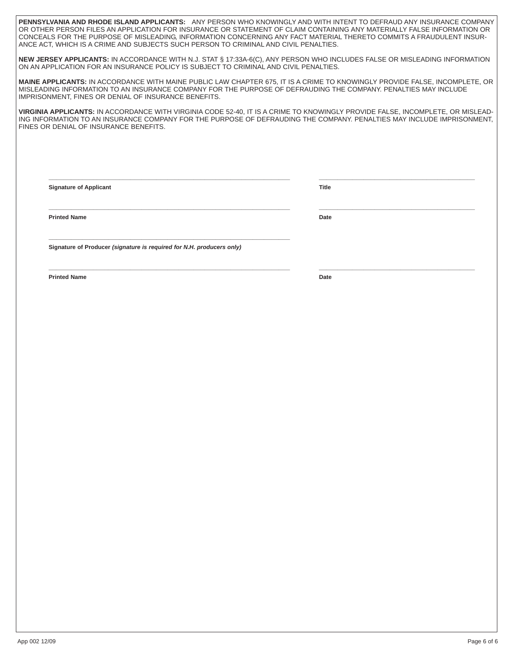**PENNSYLVANIA AND RHODE ISLAND APPLICANTS:** ANY PERSON WHO KNOWINGLY AND WITH INTENT TO DEFRAUD ANY INSURANCE COMPANY OR OTHER PERSON FILES AN APPLICATION FOR INSURANCE OR STATEMENT OF CLAIM CONTAINING ANY MATERIALLY FALSE INFORMATION OR CONCEALS FOR THE PURPOSE OF MISLEADING, INFORMATION CONCERNING ANY FACT MATERIAL THERETO COMMITS A FRAUDULENT INSUR-ANCE ACT, WHICH IS A CRIME AND SUBJECTS SUCH PERSON TO CRIMINAL AND CIVIL PENALTIES.

**NEW JERSEY APPLICANTS:** IN ACCORDANCE WITH N.J. STAT § 17:33A-6(C), ANY PERSON WHO INCLUDES FALSE OR MISLEADING INFORMATION ON AN APPLICATION FOR AN INSURANCE POLICY IS SUBJECT TO CRIMINAL AND CIVIL PENALTIES.

**MAINE APPLICANTS:** IN ACCORDANCE WITH MAINE PUBLIC LAW CHAPTER 675, IT IS A CRIME TO KNOWINGLY PROVIDE FALSE, INCOMPLETE, OR MISLEADING INFORMATION TO AN INSURANCE COMPANY FOR THE PURPOSE OF DEFRAUDING THE COMPANY. PENALTIES MAY INCLUDE IMPRISONMENT, FINES OR DENIAL OF INSURANCE BENEFITS.

**VIRGINIA APPLICANTS:** IN ACCORDANCE WITH VIRGINIA CODE 52-40, IT IS A CRIME TO KNOWINGLY PROVIDE FALSE, INCOMPLETE, OR MISLEAD-ING INFORMATION TO AN INSURANCE COMPANY FOR THE PURPOSE OF DEFRAUDING THE COMPANY. PENALTIES MAY INCLUDE IMPRISONMENT, FINES OR DENIAL OF INSURANCE BENEFITS.

**\_\_\_\_\_\_\_\_\_\_\_\_\_\_\_\_\_\_\_\_\_\_\_\_\_\_\_\_\_\_\_\_\_\_\_\_\_\_\_\_\_\_\_\_\_\_\_\_\_\_\_\_\_\_\_\_\_\_\_\_\_\_\_\_\_ \_\_\_\_\_\_\_\_\_\_\_\_\_\_\_\_\_\_\_\_\_\_\_\_\_\_\_\_\_\_\_\_\_\_\_\_\_\_\_\_\_\_**

**\_\_\_\_\_\_\_\_\_\_\_\_\_\_\_\_\_\_\_\_\_\_\_\_\_\_\_\_\_\_\_\_\_\_\_\_\_\_\_\_\_\_\_\_\_\_\_\_\_\_\_\_\_\_\_\_\_\_\_\_\_\_\_\_\_ \_\_\_\_\_\_\_\_\_\_\_\_\_\_\_\_\_\_\_\_\_\_\_\_\_\_\_\_\_\_\_\_\_\_\_\_\_\_\_\_\_\_**

**\_\_\_\_\_\_\_\_\_\_\_\_\_\_\_\_\_\_\_\_\_\_\_\_\_\_\_\_\_\_\_\_\_\_\_\_\_\_\_\_\_\_\_\_\_\_\_\_\_\_\_\_\_\_\_\_\_\_\_\_\_\_\_\_\_ \_\_\_\_\_\_\_\_\_\_\_\_\_\_\_\_\_\_\_\_\_\_\_\_\_\_\_\_\_\_\_\_\_\_\_\_\_\_\_\_\_\_**

**Signature of Applicant Title**

**Printed Name** Date **Date Date Date 2014** 

**Signature of Producer** *(signature is required for N.H. producers only)* 

**\_\_\_\_\_\_\_\_\_\_\_\_\_\_\_\_\_\_\_\_\_\_\_\_\_\_\_\_\_\_\_\_\_\_\_\_\_\_\_\_\_\_\_\_\_\_\_\_\_\_\_\_\_\_\_\_\_\_\_\_\_\_\_\_\_**

**Printed Name Date**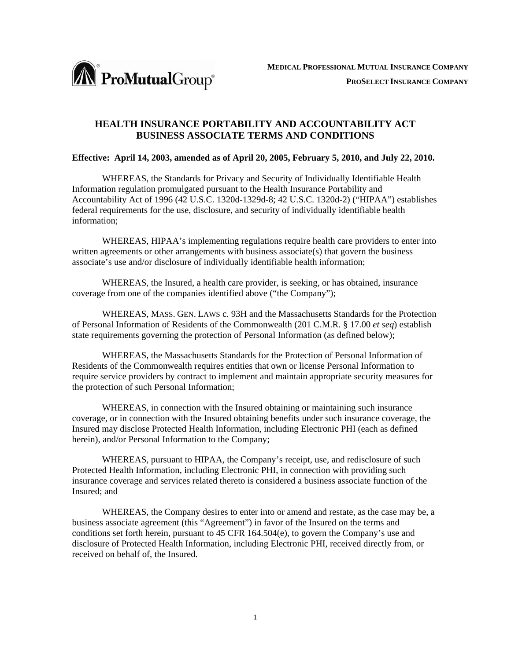

# **HEALTH INSURANCE PORTABILITY AND ACCOUNTABILITY ACT BUSINESS ASSOCIATE TERMS AND CONDITIONS**

## **Effective: April 14, 2003, amended as of April 20, 2005, February 5, 2010, and July 22, 2010.**

 WHEREAS, the Standards for Privacy and Security of Individually Identifiable Health Information regulation promulgated pursuant to the Health Insurance Portability and Accountability Act of 1996 (42 U.S.C. 1320d-1329d-8; 42 U.S.C. 1320d-2) ("HIPAA") establishes federal requirements for the use, disclosure, and security of individually identifiable health information;

 WHEREAS, HIPAA's implementing regulations require health care providers to enter into written agreements or other arrangements with business associate(s) that govern the business associate's use and/or disclosure of individually identifiable health information;

 WHEREAS, the Insured, a health care provider, is seeking, or has obtained, insurance coverage from one of the companies identified above ("the Company");

WHEREAS, MASS. GEN. LAWS c. 93H and the Massachusetts Standards for the Protection of Personal Information of Residents of the Commonwealth (201 C.M.R. § 17.00 *et seq*) establish state requirements governing the protection of Personal Information (as defined below);

WHEREAS, the Massachusetts Standards for the Protection of Personal Information of Residents of the Commonwealth requires entities that own or license Personal Information to require service providers by contract to implement and maintain appropriate security measures for the protection of such Personal Information;

 WHEREAS, in connection with the Insured obtaining or maintaining such insurance coverage, or in connection with the Insured obtaining benefits under such insurance coverage, the Insured may disclose Protected Health Information, including Electronic PHI (each as defined herein), and/or Personal Information to the Company;

 WHEREAS, pursuant to HIPAA, the Company's receipt, use, and redisclosure of such Protected Health Information, including Electronic PHI, in connection with providing such insurance coverage and services related thereto is considered a business associate function of the Insured; and

 WHEREAS, the Company desires to enter into or amend and restate, as the case may be, a business associate agreement (this "Agreement") in favor of the Insured on the terms and conditions set forth herein, pursuant to 45 CFR 164.504(e), to govern the Company's use and disclosure of Protected Health Information, including Electronic PHI, received directly from, or received on behalf of, the Insured.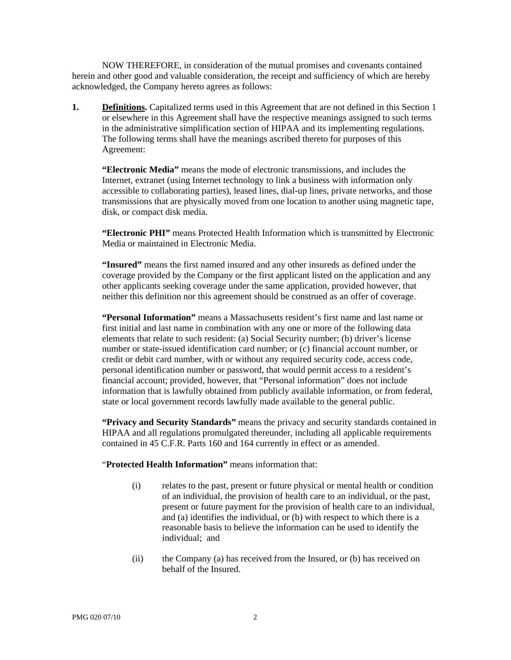NOW THEREFORE, in consideration of the mutual promises and covenants contained herein and other good and valuable consideration, the receipt and sufficiency of which are hereby acknowledged, the Company hereto agrees as follows:

**1. Definitions.** Capitalized terms used in this Agreement that are not defined in this Section 1 or elsewhere in this Agreement shall have the respective meanings assigned to such terms in the administrative simplification section of HIPAA and its implementing regulations. The following terms shall have the meanings ascribed thereto for purposes of this Agreement:

**"Electronic Media"** means the mode of electronic transmissions, and includes the Internet, extranet (using Internet technology to link a business with information only accessible to collaborating parties), leased lines, dial-up lines, private networks, and those transmissions that are physically moved from one location to another using magnetic tape, disk, or compact disk media.

**"Electronic PHI"** means Protected Health Information which is transmitted by Electronic Media or maintained in Electronic Media.

**"Insured"** means the first named insured and any other insureds as defined under the coverage provided by the Company or the first applicant listed on the application and any other applicants seeking coverage under the same application, provided however, that neither this definition nor this agreement should be construed as an offer of coverage.

**"Personal Information"** means a Massachusetts resident's first name and last name or first initial and last name in combination with any one or more of the following data elements that relate to such resident: (a) Social Security number; (b) driver's license number or state-issued identification card number; or (c) financial account number, or credit or debit card number, with or without any required security code, access code, personal identification number or password, that would permit access to a resident's financial account; provided, however, that "Personal information" does not include information that is lawfully obtained from publicly available information, or from federal, state or local government records lawfully made available to the general public.

**"Privacy and Security Standards"** means the privacy and security standards contained in HIPAA and all regulations promulgated thereunder, including all applicable requirements contained in 45 C.F.R. Parts 160 and 164 currently in effect or as amended.

"**Protected Health Information"** means information that:

- (i) relates to the past, present or future physical or mental health or condition of an individual, the provision of health care to an individual, or the past, present or future payment for the provision of health care to an individual, and (a) identifies the individual, or (b) with respect to which there is a reasonable basis to believe the information can be used to identify the individual; and
- (ii) the Company (a) has received from the Insured, or (b) has received on behalf of the Insured.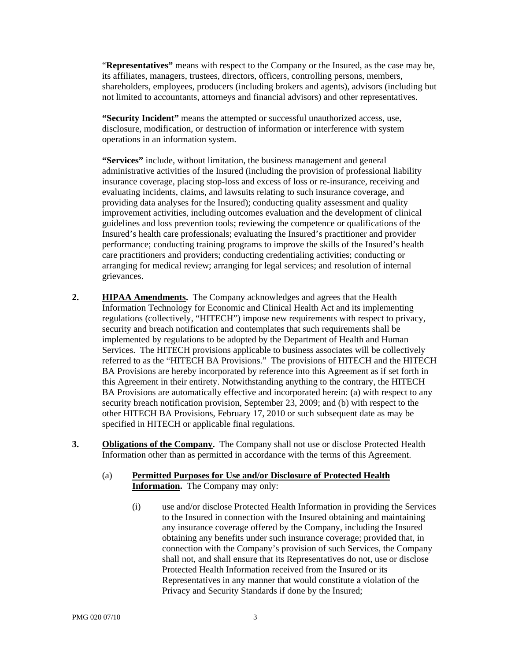"**Representatives"** means with respect to the Company or the Insured, as the case may be, its affiliates, managers, trustees, directors, officers, controlling persons, members, shareholders, employees, producers (including brokers and agents), advisors (including but not limited to accountants, attorneys and financial advisors) and other representatives.

**"Security Incident"** means the attempted or successful unauthorized access, use, disclosure, modification, or destruction of information or interference with system operations in an information system.

**"Services"** include, without limitation, the business management and general administrative activities of the Insured (including the provision of professional liability insurance coverage, placing stop-loss and excess of loss or re-insurance, receiving and evaluating incidents, claims, and lawsuits relating to such insurance coverage, and providing data analyses for the Insured); conducting quality assessment and quality improvement activities, including outcomes evaluation and the development of clinical guidelines and loss prevention tools; reviewing the competence or qualifications of the Insured's health care professionals; evaluating the Insured's practitioner and provider performance; conducting training programs to improve the skills of the Insured's health care practitioners and providers; conducting credentialing activities; conducting or arranging for medical review; arranging for legal services; and resolution of internal grievances.

- **2. HIPAA Amendments.** The Company acknowledges and agrees that the Health Information Technology for Economic and Clinical Health Act and its implementing regulations (collectively, "HITECH") impose new requirements with respect to privacy, security and breach notification and contemplates that such requirements shall be implemented by regulations to be adopted by the Department of Health and Human Services. The HITECH provisions applicable to business associates will be collectively referred to as the "HITECH BA Provisions." The provisions of HITECH and the HITECH BA Provisions are hereby incorporated by reference into this Agreement as if set forth in this Agreement in their entirety. Notwithstanding anything to the contrary, the HITECH BA Provisions are automatically effective and incorporated herein: (a) with respect to any security breach notification provision, September 23, 2009; and (b) with respect to the other HITECH BA Provisions, February 17, 2010 or such subsequent date as may be specified in HITECH or applicable final regulations.
- **3. Obligations of the Company.** The Company shall not use or disclose Protected Health Information other than as permitted in accordance with the terms of this Agreement.
	- (a) **Permitted Purposes for Use and/or Disclosure of Protected Health Information.** The Company may only:
		- (i) use and/or disclose Protected Health Information in providing the Services to the Insured in connection with the Insured obtaining and maintaining any insurance coverage offered by the Company, including the Insured obtaining any benefits under such insurance coverage; provided that, in connection with the Company's provision of such Services, the Company shall not, and shall ensure that its Representatives do not, use or disclose Protected Health Information received from the Insured or its Representatives in any manner that would constitute a violation of the Privacy and Security Standards if done by the Insured;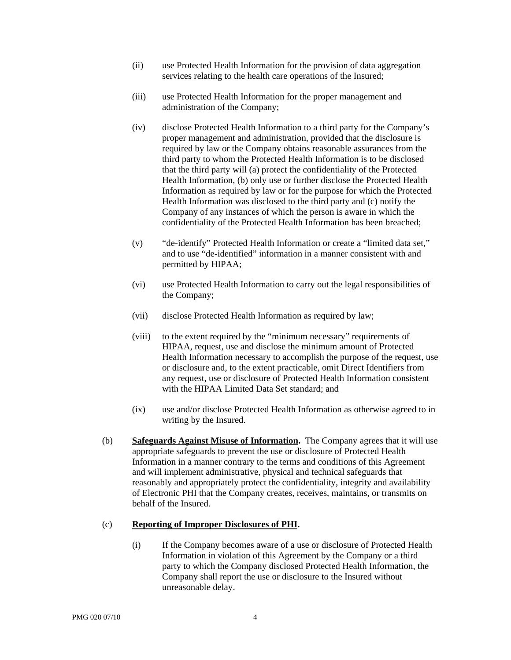- (ii) use Protected Health Information for the provision of data aggregation services relating to the health care operations of the Insured;
- (iii) use Protected Health Information for the proper management and administration of the Company;
- (iv) disclose Protected Health Information to a third party for the Company's proper management and administration, provided that the disclosure is required by law or the Company obtains reasonable assurances from the third party to whom the Protected Health Information is to be disclosed that the third party will (a) protect the confidentiality of the Protected Health Information, (b) only use or further disclose the Protected Health Information as required by law or for the purpose for which the Protected Health Information was disclosed to the third party and (c) notify the Company of any instances of which the person is aware in which the confidentiality of the Protected Health Information has been breached;
- (v) "de-identify" Protected Health Information or create a "limited data set," and to use "de-identified" information in a manner consistent with and permitted by HIPAA;
- (vi) use Protected Health Information to carry out the legal responsibilities of the Company;
- (vii) disclose Protected Health Information as required by law;
- (viii) to the extent required by the "minimum necessary" requirements of HIPAA, request, use and disclose the minimum amount of Protected Health Information necessary to accomplish the purpose of the request, use or disclosure and, to the extent practicable, omit Direct Identifiers from any request, use or disclosure of Protected Health Information consistent with the HIPAA Limited Data Set standard; and
- (ix) use and/or disclose Protected Health Information as otherwise agreed to in writing by the Insured.
- (b) **Safeguards Against Misuse of Information.** The Company agrees that it will use appropriate safeguards to prevent the use or disclosure of Protected Health Information in a manner contrary to the terms and conditions of this Agreement and will implement administrative, physical and technical safeguards that reasonably and appropriately protect the confidentiality, integrity and availability of Electronic PHI that the Company creates, receives, maintains, or transmits on behalf of the Insured.

## (c) **Reporting of Improper Disclosures of PHI.**

(i) If the Company becomes aware of a use or disclosure of Protected Health Information in violation of this Agreement by the Company or a third party to which the Company disclosed Protected Health Information, the Company shall report the use or disclosure to the Insured without unreasonable delay.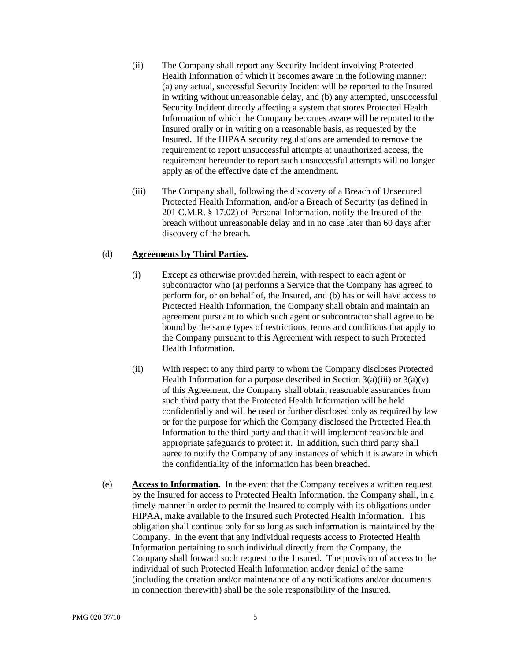- (ii) The Company shall report any Security Incident involving Protected Health Information of which it becomes aware in the following manner: (a) any actual, successful Security Incident will be reported to the Insured in writing without unreasonable delay, and (b) any attempted, unsuccessful Security Incident directly affecting a system that stores Protected Health Information of which the Company becomes aware will be reported to the Insured orally or in writing on a reasonable basis, as requested by the Insured. If the HIPAA security regulations are amended to remove the requirement to report unsuccessful attempts at unauthorized access, the requirement hereunder to report such unsuccessful attempts will no longer apply as of the effective date of the amendment.
- (iii) The Company shall, following the discovery of a Breach of Unsecured Protected Health Information, and/or a Breach of Security (as defined in 201 C.M.R. § 17.02) of Personal Information, notify the Insured of the breach without unreasonable delay and in no case later than 60 days after discovery of the breach.

## (d) **Agreements by Third Parties.**

- (i) Except as otherwise provided herein, with respect to each agent or subcontractor who (a) performs a Service that the Company has agreed to perform for, or on behalf of, the Insured, and (b) has or will have access to Protected Health Information, the Company shall obtain and maintain an agreement pursuant to which such agent or subcontractor shall agree to be bound by the same types of restrictions, terms and conditions that apply to the Company pursuant to this Agreement with respect to such Protected Health Information.
- (ii) With respect to any third party to whom the Company discloses Protected Health Information for a purpose described in Section  $3(a)(iii)$  or  $3(a)(v)$ of this Agreement, the Company shall obtain reasonable assurances from such third party that the Protected Health Information will be held confidentially and will be used or further disclosed only as required by law or for the purpose for which the Company disclosed the Protected Health Information to the third party and that it will implement reasonable and appropriate safeguards to protect it. In addition, such third party shall agree to notify the Company of any instances of which it is aware in which the confidentiality of the information has been breached.
- (e) **Access to Information.** In the event that the Company receives a written request by the Insured for access to Protected Health Information, the Company shall, in a timely manner in order to permit the Insured to comply with its obligations under HIPAA, make available to the Insured such Protected Health Information. This obligation shall continue only for so long as such information is maintained by the Company. In the event that any individual requests access to Protected Health Information pertaining to such individual directly from the Company, the Company shall forward such request to the Insured. The provision of access to the individual of such Protected Health Information and/or denial of the same (including the creation and/or maintenance of any notifications and/or documents in connection therewith) shall be the sole responsibility of the Insured.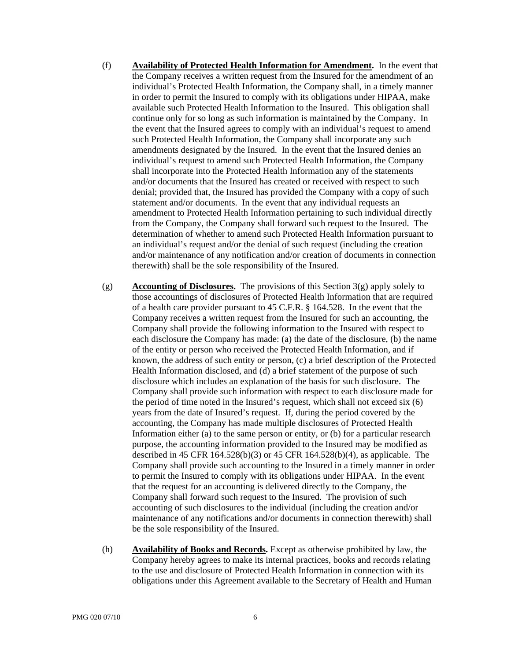- (f) **Availability of Protected Health Information for Amendment.** In the event that the Company receives a written request from the Insured for the amendment of an individual's Protected Health Information, the Company shall, in a timely manner in order to permit the Insured to comply with its obligations under HIPAA, make available such Protected Health Information to the Insured. This obligation shall continue only for so long as such information is maintained by the Company. In the event that the Insured agrees to comply with an individual's request to amend such Protected Health Information, the Company shall incorporate any such amendments designated by the Insured. In the event that the Insured denies an individual's request to amend such Protected Health Information, the Company shall incorporate into the Protected Health Information any of the statements and/or documents that the Insured has created or received with respect to such denial; provided that, the Insured has provided the Company with a copy of such statement and/or documents. In the event that any individual requests an amendment to Protected Health Information pertaining to such individual directly from the Company, the Company shall forward such request to the Insured. The determination of whether to amend such Protected Health Information pursuant to an individual's request and/or the denial of such request (including the creation and/or maintenance of any notification and/or creation of documents in connection therewith) shall be the sole responsibility of the Insured.
- (g) **Accounting of Disclosures.** The provisions of this Section 3(g) apply solely to those accountings of disclosures of Protected Health Information that are required of a health care provider pursuant to 45 C.F.R. § 164.528. In the event that the Company receives a written request from the Insured for such an accounting, the Company shall provide the following information to the Insured with respect to each disclosure the Company has made: (a) the date of the disclosure, (b) the name of the entity or person who received the Protected Health Information, and if known, the address of such entity or person, (c) a brief description of the Protected Health Information disclosed, and (d) a brief statement of the purpose of such disclosure which includes an explanation of the basis for such disclosure. The Company shall provide such information with respect to each disclosure made for the period of time noted in the Insured's request, which shall not exceed six (6) years from the date of Insured's request. If, during the period covered by the accounting, the Company has made multiple disclosures of Protected Health Information either (a) to the same person or entity, or (b) for a particular research purpose, the accounting information provided to the Insured may be modified as described in 45 CFR 164.528(b)(3) or 45 CFR 164.528(b)(4), as applicable. The Company shall provide such accounting to the Insured in a timely manner in order to permit the Insured to comply with its obligations under HIPAA. In the event that the request for an accounting is delivered directly to the Company, the Company shall forward such request to the Insured. The provision of such accounting of such disclosures to the individual (including the creation and/or maintenance of any notifications and/or documents in connection therewith) shall be the sole responsibility of the Insured.
- (h) **Availability of Books and Records.** Except as otherwise prohibited by law, the Company hereby agrees to make its internal practices, books and records relating to the use and disclosure of Protected Health Information in connection with its obligations under this Agreement available to the Secretary of Health and Human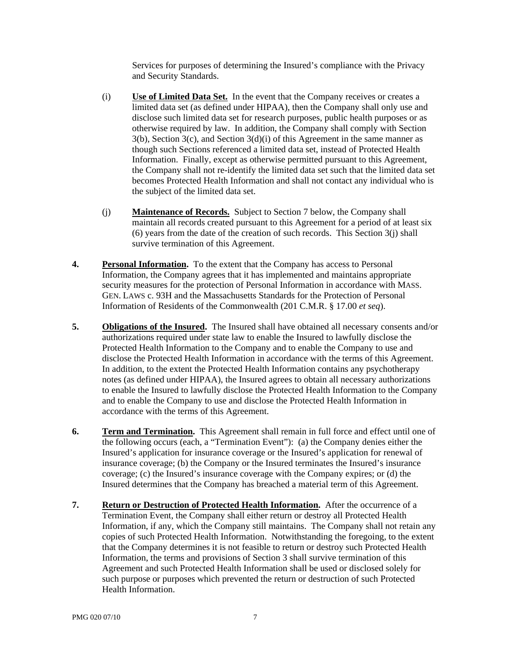Services for purposes of determining the Insured's compliance with the Privacy and Security Standards.

- (i) **Use of Limited Data Set.** In the event that the Company receives or creates a limited data set (as defined under HIPAA), then the Company shall only use and disclose such limited data set for research purposes, public health purposes or as otherwise required by law. In addition, the Company shall comply with Section  $3(b)$ , Section  $3(c)$ , and Section  $3(d)(i)$  of this Agreement in the same manner as though such Sections referenced a limited data set, instead of Protected Health Information. Finally, except as otherwise permitted pursuant to this Agreement, the Company shall not re-identify the limited data set such that the limited data set becomes Protected Health Information and shall not contact any individual who is the subject of the limited data set.
- (j) **Maintenance of Records.** Subject to Section 7 below, the Company shall maintain all records created pursuant to this Agreement for a period of at least six (6) years from the date of the creation of such records. This Section 3(j) shall survive termination of this Agreement.
- **4. Personal Information.** To the extent that the Company has access to Personal Information, the Company agrees that it has implemented and maintains appropriate security measures for the protection of Personal Information in accordance with MASS. GEN. LAWS c. 93H and the Massachusetts Standards for the Protection of Personal Information of Residents of the Commonwealth (201 C.M.R. § 17.00 *et seq*).
- **5. Obligations of the Insured.** The Insured shall have obtained all necessary consents and/or authorizations required under state law to enable the Insured to lawfully disclose the Protected Health Information to the Company and to enable the Company to use and disclose the Protected Health Information in accordance with the terms of this Agreement. In addition, to the extent the Protected Health Information contains any psychotherapy notes (as defined under HIPAA), the Insured agrees to obtain all necessary authorizations to enable the Insured to lawfully disclose the Protected Health Information to the Company and to enable the Company to use and disclose the Protected Health Information in accordance with the terms of this Agreement.
- **6. Term and Termination.** This Agreement shall remain in full force and effect until one of the following occurs (each, a "Termination Event"): (a) the Company denies either the Insured's application for insurance coverage or the Insured's application for renewal of insurance coverage; (b) the Company or the Insured terminates the Insured's insurance coverage; (c) the Insured's insurance coverage with the Company expires; or (d) the Insured determines that the Company has breached a material term of this Agreement.
- **7. Return or Destruction of Protected Health Information.** After the occurrence of a Termination Event, the Company shall either return or destroy all Protected Health Information, if any, which the Company still maintains. The Company shall not retain any copies of such Protected Health Information. Notwithstanding the foregoing, to the extent that the Company determines it is not feasible to return or destroy such Protected Health Information, the terms and provisions of Section 3 shall survive termination of this Agreement and such Protected Health Information shall be used or disclosed solely for such purpose or purposes which prevented the return or destruction of such Protected Health Information.